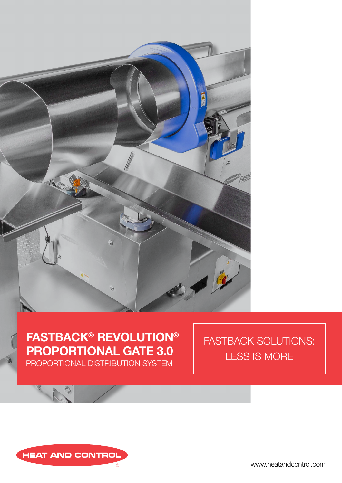

# **FASTBACK® REVOLUTION® PROPORTIONAL GATE 3.0**

PROPORTIONAL DISTRIBUTION SYSTEM

FASTBACK SOLUTIONS: LESS IS MORE



www.heatandcontrol.com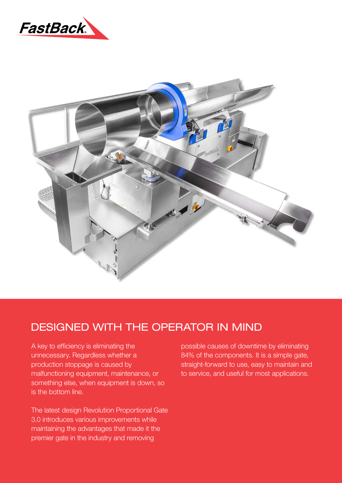



### DESIGNED WITH THE OPERATOR IN MIND

A key to efficiency is eliminating the unnecessary. Regardless whether a production stoppage is caused by malfunctioning equipment, maintenance, or something else, when equipment is down, so is the bottom line.

The latest design Revolution Proportional Gate 3.0 introduces various improvements while maintaining the advantages that made it the premier gate in the industry and removing

possible causes of downtime by eliminating 84% of the components. It is a simple gate, straight-forward to use, easy to maintain and to service, and useful for most applications.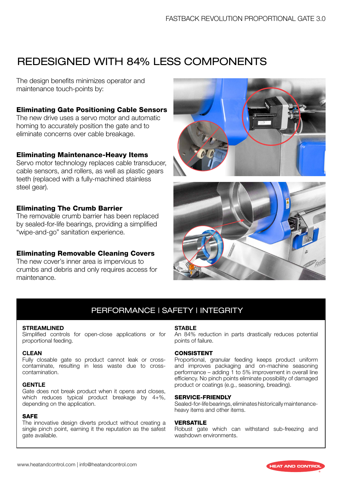## REDESIGNED WITH 84% LESS COMPONENTS

The design benefits minimizes operator and maintenance touch-points by:

#### Eliminating Gate Positioning Cable Sensors

The new drive uses a servo motor and automatic homing to accurately position the gate and to eliminate concerns over cable breakage.

#### Eliminating Maintenance-Heavy Items

Servo motor technology replaces cable transducer, cable sensors, and rollers, as well as plastic gears teeth (replaced with a fully-machined stainless steel gear).

#### Eliminating The Crumb Barrier

The removable crumb barrier has been replaced by sealed-for-life bearings, providing a simplified "wipe-and-go" sanitation experience.

#### Eliminating Removable Cleaning Covers

The new cover's inner area is impervious to crumbs and debris and only requires access for maintenance.





### PERFORMANCE | SAFETY | INTEGRITY

#### **STREAMLINED**

Simplified controls for open-close applications or for proportional feeding.

#### **CLEAN**

Fully closable gate so product cannot leak or crosscontaminate, resulting in less waste due to crosscontamination.

#### **GENTLE**

Gate does not break product when it opens and closes, which reduces typical product breakage by 4+%, depending on the application.

#### SAFE

The innovative design diverts product without creating a single pinch point, earning it the reputation as the safest gate available.

#### **STABLE**

An 84% reduction in parts drastically reduces potential points of failure.

#### **CONSISTENT**

Proportional, granular feeding keeps product uniform and improves packaging and on-machine seasoning performance – adding 1 to 5% improvement in overall line efficiency. No pinch points eliminate possibility of damaged product or coatings (e.g., seasoning, breading).

#### SERVICE-FRIENDLY

Sealed-for-life bearings, eliminates historically maintenanceheavy items and other items.

#### VERSATILE

Robust gate which can withstand sub-freezing and washdown environments.